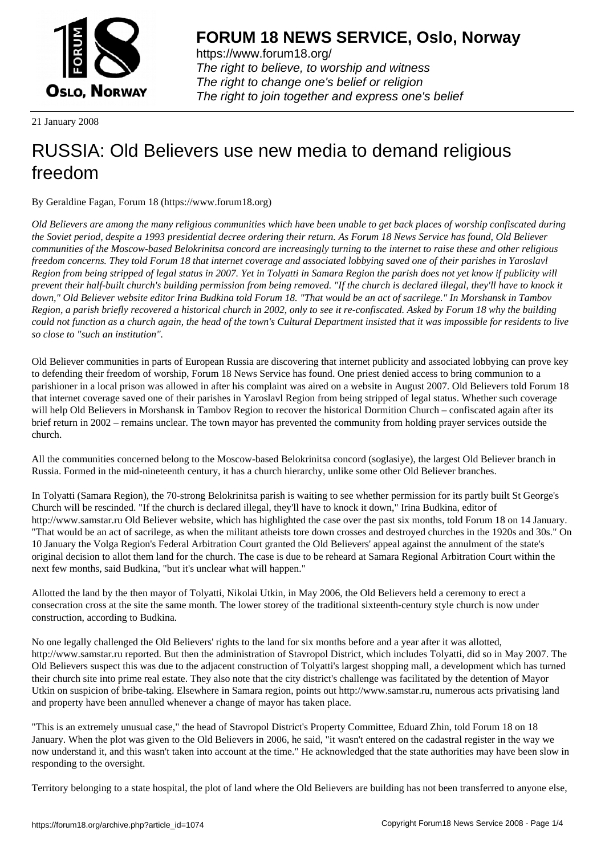

https://www.forum18.org/ The right to believe, to worship and witness The right to change one's belief or religion [The right to join together a](https://www.forum18.org/)nd express one's belief

21 January 2008

## [RUSSIA: Old B](https://www.forum18.org)elievers use new media to demand religious freedom

By Geraldine Fagan, Forum 18 (https://www.forum18.org)

*Old Believers are among the many religious communities which have been unable to get back places of worship confiscated during the Soviet period, despite a 1993 presidential decree ordering their return. As Forum 18 News Service has found, Old Believer communities of the Moscow-based Belokrinitsa concord are increasingly turning to the internet to raise these and other religious freedom concerns. They told Forum 18 that internet coverage and associated lobbying saved one of their parishes in Yaroslavl Region from being stripped of legal status in 2007. Yet in Tolyatti in Samara Region the parish does not yet know if publicity will prevent their half-built church's building permission from being removed. "If the church is declared illegal, they'll have to knock it down," Old Believer website editor Irina Budkina told Forum 18. "That would be an act of sacrilege." In Morshansk in Tambov Region, a parish briefly recovered a historical church in 2002, only to see it re-confiscated. Asked by Forum 18 why the building could not function as a church again, the head of the town's Cultural Department insisted that it was impossible for residents to live so close to "such an institution".*

Old Believer communities in parts of European Russia are discovering that internet publicity and associated lobbying can prove key to defending their freedom of worship, Forum 18 News Service has found. One priest denied access to bring communion to a parishioner in a local prison was allowed in after his complaint was aired on a website in August 2007. Old Believers told Forum 18 that internet coverage saved one of their parishes in Yaroslavl Region from being stripped of legal status. Whether such coverage will help Old Believers in Morshansk in Tambov Region to recover the historical Dormition Church – confiscated again after its brief return in 2002 – remains unclear. The town mayor has prevented the community from holding prayer services outside the church.

All the communities concerned belong to the Moscow-based Belokrinitsa concord (soglasiye), the largest Old Believer branch in Russia. Formed in the mid-nineteenth century, it has a church hierarchy, unlike some other Old Believer branches.

In Tolyatti (Samara Region), the 70-strong Belokrinitsa parish is waiting to see whether permission for its partly built St George's Church will be rescinded. "If the church is declared illegal, they'll have to knock it down," Irina Budkina, editor of http://www.samstar.ru Old Believer website, which has highlighted the case over the past six months, told Forum 18 on 14 January. "That would be an act of sacrilege, as when the militant atheists tore down crosses and destroyed churches in the 1920s and 30s." On 10 January the Volga Region's Federal Arbitration Court granted the Old Believers' appeal against the annulment of the state's original decision to allot them land for the church. The case is due to be reheard at Samara Regional Arbitration Court within the next few months, said Budkina, "but it's unclear what will happen."

Allotted the land by the then mayor of Tolyatti, Nikolai Utkin, in May 2006, the Old Believers held a ceremony to erect a consecration cross at the site the same month. The lower storey of the traditional sixteenth-century style church is now under construction, according to Budkina.

No one legally challenged the Old Believers' rights to the land for six months before and a year after it was allotted, http://www.samstar.ru reported. But then the administration of Stavropol District, which includes Tolyatti, did so in May 2007. The Old Believers suspect this was due to the adjacent construction of Tolyatti's largest shopping mall, a development which has turned their church site into prime real estate. They also note that the city district's challenge was facilitated by the detention of Mayor Utkin on suspicion of bribe-taking. Elsewhere in Samara region, points out http://www.samstar.ru, numerous acts privatising land and property have been annulled whenever a change of mayor has taken place.

"This is an extremely unusual case," the head of Stavropol District's Property Committee, Eduard Zhin, told Forum 18 on 18 January. When the plot was given to the Old Believers in 2006, he said, "it wasn't entered on the cadastral register in the way we now understand it, and this wasn't taken into account at the time." He acknowledged that the state authorities may have been slow in responding to the oversight.

Territory belonging to a state hospital, the plot of land where the Old Believers are building has not been transferred to anyone else,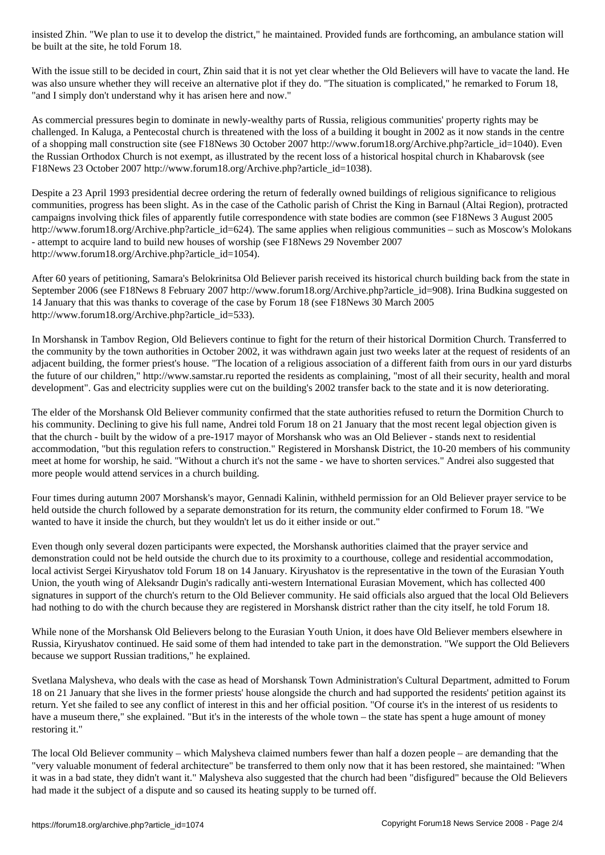With the issue still to be decided in court, Zhin said that it is not yet clear whether the Old Believers will have to vacate the land. He was also unsure whether they will receive an alternative plot if they do. "The situation is complicated," he remarked to Forum 18, "and I simply don't understand why it has arisen here and now."

As commercial pressures begin to dominate in newly-wealthy parts of Russia, religious communities' property rights may be challenged. In Kaluga, a Pentecostal church is threatened with the loss of a building it bought in 2002 as it now stands in the centre of a shopping mall construction site (see F18News 30 October 2007 http://www.forum18.org/Archive.php?article\_id=1040). Even the Russian Orthodox Church is not exempt, as illustrated by the recent loss of a historical hospital church in Khabarovsk (see F18News 23 October 2007 http://www.forum18.org/Archive.php?article\_id=1038).

Despite a 23 April 1993 presidential decree ordering the return of federally owned buildings of religious significance to religious communities, progress has been slight. As in the case of the Catholic parish of Christ the King in Barnaul (Altai Region), protracted campaigns involving thick files of apparently futile correspondence with state bodies are common (see F18News 3 August 2005 http://www.forum18.org/Archive.php?article\_id=624). The same applies when religious communities – such as Moscow's Molokans - attempt to acquire land to build new houses of worship (see F18News 29 November 2007 http://www.forum18.org/Archive.php?article\_id=1054).

After 60 years of petitioning, Samara's Belokrinitsa Old Believer parish received its historical church building back from the state in September 2006 (see F18News 8 February 2007 http://www.forum18.org/Archive.php?article\_id=908). Irina Budkina suggested on 14 January that this was thanks to coverage of the case by Forum 18 (see F18News 30 March 2005 http://www.forum18.org/Archive.php?article\_id=533).

In Morshansk in Tambov Region, Old Believers continue to fight for the return of their historical Dormition Church. Transferred to the community by the town authorities in October 2002, it was withdrawn again just two weeks later at the request of residents of an adjacent building, the former priest's house. "The location of a religious association of a different faith from ours in our yard disturbs the future of our children," http://www.samstar.ru reported the residents as complaining, "most of all their security, health and moral development". Gas and electricity supplies were cut on the building's 2002 transfer back to the state and it is now deteriorating.

The elder of the Morshansk Old Believer community confirmed that the state authorities refused to return the Dormition Church to his community. Declining to give his full name, Andrei told Forum 18 on 21 January that the most recent legal objection given is that the church - built by the widow of a pre-1917 mayor of Morshansk who was an Old Believer - stands next to residential accommodation, "but this regulation refers to construction." Registered in Morshansk District, the 10-20 members of his community meet at home for worship, he said. "Without a church it's not the same - we have to shorten services." Andrei also suggested that more people would attend services in a church building.

Four times during autumn 2007 Morshansk's mayor, Gennadi Kalinin, withheld permission for an Old Believer prayer service to be held outside the church followed by a separate demonstration for its return, the community elder confirmed to Forum 18. "We wanted to have it inside the church, but they wouldn't let us do it either inside or out."

Even though only several dozen participants were expected, the Morshansk authorities claimed that the prayer service and demonstration could not be held outside the church due to its proximity to a courthouse, college and residential accommodation, local activist Sergei Kiryushatov told Forum 18 on 14 January. Kiryushatov is the representative in the town of the Eurasian Youth Union, the youth wing of Aleksandr Dugin's radically anti-western International Eurasian Movement, which has collected 400 signatures in support of the church's return to the Old Believer community. He said officials also argued that the local Old Believers had nothing to do with the church because they are registered in Morshansk district rather than the city itself, he told Forum 18.

While none of the Morshansk Old Believers belong to the Eurasian Youth Union, it does have Old Believer members elsewhere in Russia, Kiryushatov continued. He said some of them had intended to take part in the demonstration. "We support the Old Believers because we support Russian traditions," he explained.

Svetlana Malysheva, who deals with the case as head of Morshansk Town Administration's Cultural Department, admitted to Forum 18 on 21 January that she lives in the former priests' house alongside the church and had supported the residents' petition against its return. Yet she failed to see any conflict of interest in this and her official position. "Of course it's in the interest of us residents to have a museum there," she explained. "But it's in the interests of the whole town – the state has spent a huge amount of money restoring it."

The local Old Believer community – which Malysheva claimed numbers fewer than half a dozen people – are demanding that the "very valuable monument of federal architecture" be transferred to them only now that it has been restored, she maintained: "When it was in a bad state, they didn't want it." Malysheva also suggested that the church had been "disfigured" because the Old Believers had made it the subject of a dispute and so caused its heating supply to be turned off.

be built at the site, he told Forum 18. The site, he told Forum 18. The site  $\mathcal{A}$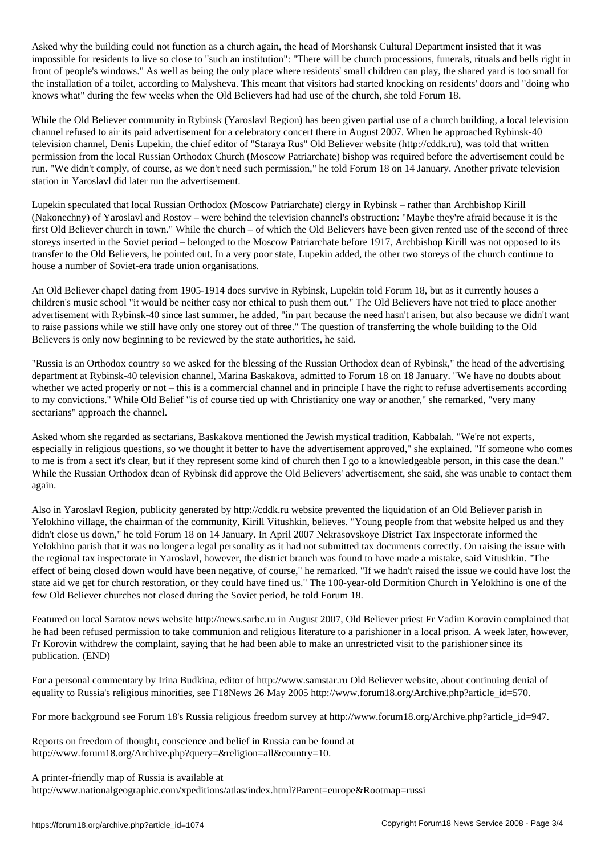Asked why the building could not function as a church again, the head of Morshansk Cultural Department insisted that it was impossible for residents to live so close to "such an institution": "There will be church processions, funerals, rituals and bells right in front of people's windows." As well as being the only place where residents' small children can play, the shared yard is too small for the installation of a toilet, according to Malysheva. This meant that visitors had started knocking on residents' doors and "doing who knows what" during the few weeks when the Old Believers had had use of the church, she told Forum 18.

While the Old Believer community in Rybinsk (Yaroslavl Region) has been given partial use of a church building, a local television channel refused to air its paid advertisement for a celebratory concert there in August 2007. When he approached Rybinsk-40 television channel, Denis Lupekin, the chief editor of "Staraya Rus" Old Believer website (http://cddk.ru), was told that written permission from the local Russian Orthodox Church (Moscow Patriarchate) bishop was required before the advertisement could be run. "We didn't comply, of course, as we don't need such permission," he told Forum 18 on 14 January. Another private television station in Yaroslavl did later run the advertisement.

Lupekin speculated that local Russian Orthodox (Moscow Patriarchate) clergy in Rybinsk – rather than Archbishop Kirill (Nakonechny) of Yaroslavl and Rostov – were behind the television channel's obstruction: "Maybe they're afraid because it is the first Old Believer church in town." While the church – of which the Old Believers have been given rented use of the second of three storeys inserted in the Soviet period – belonged to the Moscow Patriarchate before 1917, Archbishop Kirill was not opposed to its transfer to the Old Believers, he pointed out. In a very poor state, Lupekin added, the other two storeys of the church continue to house a number of Soviet-era trade union organisations.

An Old Believer chapel dating from 1905-1914 does survive in Rybinsk, Lupekin told Forum 18, but as it currently houses a children's music school "it would be neither easy nor ethical to push them out." The Old Believers have not tried to place another advertisement with Rybinsk-40 since last summer, he added, "in part because the need hasn't arisen, but also because we didn't want to raise passions while we still have only one storey out of three." The question of transferring the whole building to the Old Believers is only now beginning to be reviewed by the state authorities, he said.

"Russia is an Orthodox country so we asked for the blessing of the Russian Orthodox dean of Rybinsk," the head of the advertising department at Rybinsk-40 television channel, Marina Baskakova, admitted to Forum 18 on 18 January. "We have no doubts about whether we acted properly or not – this is a commercial channel and in principle I have the right to refuse advertisements according to my convictions." While Old Belief "is of course tied up with Christianity one way or another," she remarked, "very many sectarians" approach the channel.

Asked whom she regarded as sectarians, Baskakova mentioned the Jewish mystical tradition, Kabbalah. "We're not experts, especially in religious questions, so we thought it better to have the advertisement approved," she explained. "If someone who comes to me is from a sect it's clear, but if they represent some kind of church then I go to a knowledgeable person, in this case the dean." While the Russian Orthodox dean of Rybinsk did approve the Old Believers' advertisement, she said, she was unable to contact them again.

Also in Yaroslavl Region, publicity generated by http://cddk.ru website prevented the liquidation of an Old Believer parish in Yelokhino village, the chairman of the community, Kirill Vitushkin, believes. "Young people from that website helped us and they didn't close us down," he told Forum 18 on 14 January. In April 2007 Nekrasovskoye District Tax Inspectorate informed the Yelokhino parish that it was no longer a legal personality as it had not submitted tax documents correctly. On raising the issue with the regional tax inspectorate in Yaroslavl, however, the district branch was found to have made a mistake, said Vitushkin. "The effect of being closed down would have been negative, of course," he remarked. "If we hadn't raised the issue we could have lost the state aid we get for church restoration, or they could have fined us." The 100-year-old Dormition Church in Yelokhino is one of the few Old Believer churches not closed during the Soviet period, he told Forum 18.

Featured on local Saratov news website http://news.sarbc.ru in August 2007, Old Believer priest Fr Vadim Korovin complained that he had been refused permission to take communion and religious literature to a parishioner in a local prison. A week later, however, Fr Korovin withdrew the complaint, saying that he had been able to make an unrestricted visit to the parishioner since its publication. (END)

For a personal commentary by Irina Budkina, editor of http://www.samstar.ru Old Believer website, about continuing denial of equality to Russia's religious minorities, see F18News 26 May 2005 http://www.forum18.org/Archive.php?article\_id=570.

For more background see Forum 18's Russia religious freedom survey at http://www.forum18.org/Archive.php?article\_id=947.

Reports on freedom of thought, conscience and belief in Russia can be found at http://www.forum18.org/Archive.php?query=&religion=all&country=10.

A printer-friendly map of Russia is available at

http://www.nationalgeographic.com/xpeditions/atlas/index.html?Parent=europe&Rootmap=russi